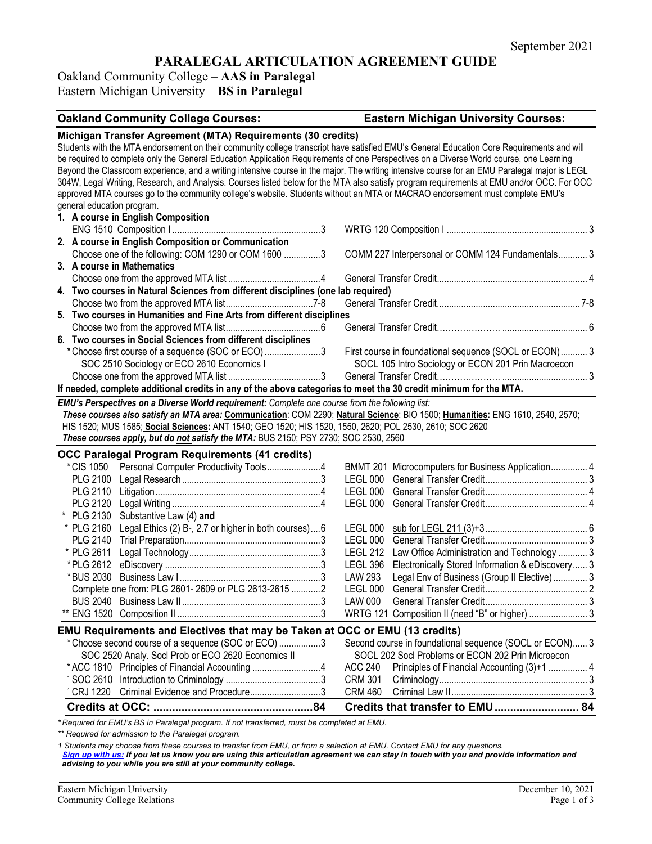# **PARALEGAL ARTICULATION AGREEMENT GUIDE**

# Oakland Community College – **AAS in Paralegal** Eastern Michigan University – **BS in Paralegal**

| <b>Oakland Community College Courses:</b>                                                                                                     | <b>Eastern Michigan University Courses:</b>                         |
|-----------------------------------------------------------------------------------------------------------------------------------------------|---------------------------------------------------------------------|
| Michigan Transfer Agreement (MTA) Requirements (30 credits)                                                                                   |                                                                     |
| Students with the MTA endorsement on their community college transcript have satisfied EMU's General Education Core Requirements and will     |                                                                     |
| be required to complete only the General Education Application Requirements of one Perspectives on a Diverse World course, one Learning       |                                                                     |
| Beyond the Classroom experience, and a writing intensive course in the major. The writing intensive course for an EMU Paralegal major is LEGL |                                                                     |
| 304W, Legal Writing, Research, and Analysis. Courses listed below for the MTA also satisfy program requirements at EMU and/or OCC. For OCC    |                                                                     |
| approved MTA courses go to the community college's website. Students without an MTA or MACRAO endorsement must complete EMU's                 |                                                                     |
| general education program.                                                                                                                    |                                                                     |
| 1. A course in English Composition                                                                                                            |                                                                     |
|                                                                                                                                               |                                                                     |
| 2. A course in English Composition or Communication                                                                                           |                                                                     |
| Choose one of the following: COM 1290 or COM 1600 3                                                                                           | COMM 227 Interpersonal or COMM 124 Fundamentals 3                   |
| 3. A course in Mathematics                                                                                                                    |                                                                     |
|                                                                                                                                               |                                                                     |
| 4. Two courses in Natural Sciences from different disciplines (one lab required)                                                              |                                                                     |
|                                                                                                                                               |                                                                     |
| 5. Two courses in Humanities and Fine Arts from different disciplines                                                                         |                                                                     |
|                                                                                                                                               |                                                                     |
| 6. Two courses in Social Sciences from different disciplines                                                                                  |                                                                     |
| *Choose first course of a sequence (SOC or ECO)3                                                                                              | First course in foundational sequence (SOCL or ECON) 3              |
| SOC 2510 Sociology or ECO 2610 Economics I                                                                                                    | SOCL 105 Intro Sociology or ECON 201 Prin Macroecon                 |
|                                                                                                                                               |                                                                     |
| If needed, complete additional credits in any of the above categories to meet the 30 credit minimum for the MTA.                              |                                                                     |
| EMU's Perspectives on a Diverse World requirement: Complete one course from the following list:                                               |                                                                     |
| These courses also satisfy an MTA area: Communication: COM 2290; Natural Science: BIO 1500; Humanities: ENG 1610, 2540, 2570;                 |                                                                     |
| HIS 1520; MUS 1585; Social Sciences: ANT 1540; GEO 1520; HIS 1520, 1550, 2620; POL 2530, 2610; SOC 2620                                       |                                                                     |
| These courses apply, but do not satisfy the MTA: BUS 2150; PSY 2730; SOC 2530, 2560                                                           |                                                                     |
| <b>OCC Paralegal Program Requirements (41 credits)</b>                                                                                        |                                                                     |
| Personal Computer Productivity Tools4<br>*CIS 1050                                                                                            | BMMT 201 Microcomputers for Business Application 4                  |
| <b>PLG 2100</b>                                                                                                                               | LEGL 000                                                            |
| PLG 2110                                                                                                                                      | LEGL 000                                                            |
| PLG 2120                                                                                                                                      | LEGL 000                                                            |
| * PLG 2130<br>Substantive Law (4) and                                                                                                         |                                                                     |
| * PLG 2160<br>Legal Ethics (2) B-, 2.7 or higher in both courses)6                                                                            | LEGL 000                                                            |
| <b>PLG 2140</b>                                                                                                                               | LEGL 000                                                            |
| * PLG 2611                                                                                                                                    | <b>LEGL 212</b><br>Law Office Administration and Technology  3      |
| *PLG 2612                                                                                                                                     | <b>LEGL 396</b><br>Electronically Stored Information & eDiscovery 3 |
| *BUS 2030                                                                                                                                     | <b>LAW 293</b><br>Legal Env of Business (Group II Elective)  3      |
| Complete one from: PLG 2601- 2609 or PLG 2613-2615 2                                                                                          | LEGL 000                                                            |
|                                                                                                                                               | LAW 000                                                             |
|                                                                                                                                               | WRTG 121 Composition II (need "B" or higher)  3                     |
| EMU Requirements and Electives that may be Taken at OCC or EMU (13 credits)                                                                   |                                                                     |
| * Choose second course of a sequence (SOC or ECO) 3                                                                                           | Second course in foundational sequence (SOCL or ECON) 3             |
| SOC 2520 Analy. Socl Prob or ECO 2620 Economics II                                                                                            | SOCL 202 Socl Problems or ECON 202 Prin Microecon                   |
| *ACC 1810 Principles of Financial Accounting 4                                                                                                | <b>ACC 240</b>                                                      |
|                                                                                                                                               | Principles of Financial Accounting (3)+1  4<br><b>CRM 301</b>       |
| <sup>1</sup> CRJ 1220 Criminal Evidence and Procedure3                                                                                        | <b>CRM 460</b>                                                      |
|                                                                                                                                               |                                                                     |
|                                                                                                                                               | Credits that transfer to EMU 84                                     |

*\* Required for EMU's BS in Paralegal program. If not transferred, must be completed at EMU.* 

*\*\* Required for admission to the Paralegal program.* 

*1 Students may choose from these courses to transfer from EMU, or from a selection at EMU. Contact EMU for any questions.* 

*[Sign up with us:](https://www.emich.edu/ccr/articulation-agreements/signup.php) If you let us know you are using this articulation agreement we can stay in touch with you and provide information and advising to you while you are still at your community college.*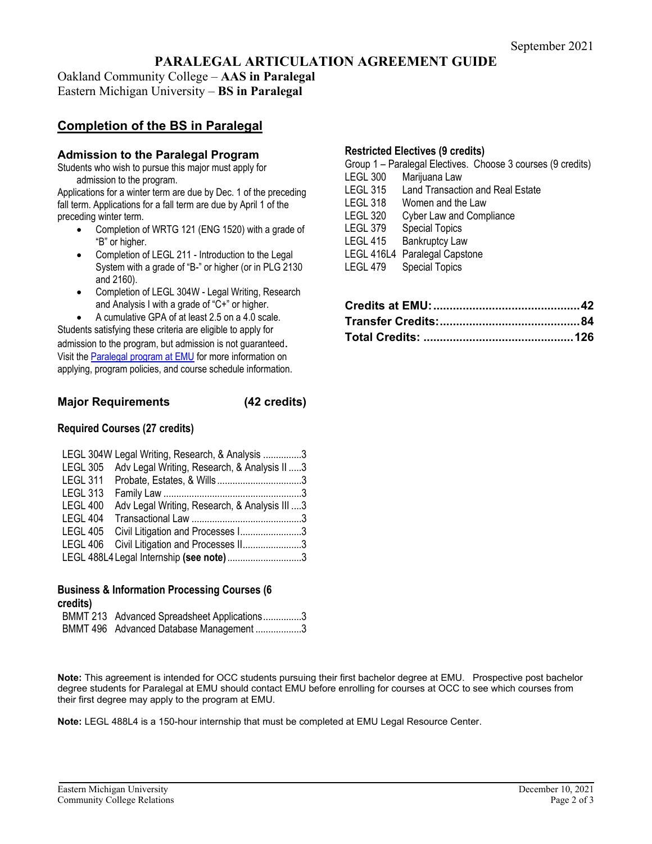# **PARALEGAL ARTICULATION AGREEMENT GUIDE**

Oakland Community College – **AAS in Paralegal** Eastern Michigan University – **BS in Paralegal**

# **Completion of the BS in Paralegal**

### **Admission to the Paralegal Program**

Students who wish to pursue this major must apply for admission to the program.

Applications for a winter term are due by Dec. 1 of the preceding fall term. Applications for a fall term are due by April 1 of the preceding winter term.

- Completion of WRTG 121 (ENG 1520) with a grade of "B" or higher.
- Completion of LEGL 211 Introduction to the Legal System with a grade of "B-" or higher (or in PLG 2130 and 2160).
- Completion of LEGL 304W Legal Writing, Research and Analysis I with a grade of "C+" or higher.
	- A cumulative GPA of at least 2.5 on a 4.0 scale.

Students satisfying these criteria are eligible to apply for admission to the program, but admission is not guaranteed. Visit th[e Paralegal program at EMU](https://www.emich.edu/cet/tech-professional-mgmt/programs/paralegal/index.php) for more information on applying, program policies, and course schedule information.

## **Major Requirements (42 credits)**

#### **Required Courses (27 credits)**

|                 | LEGL 304W Legal Writing, Research, & Analysis 3       |  |
|-----------------|-------------------------------------------------------|--|
|                 | LEGL 305 Adv Legal Writing, Research, & Analysis II 3 |  |
|                 |                                                       |  |
| <b>LEGL 313</b> |                                                       |  |
| <b>LEGL 400</b> | Adv Legal Writing, Research, & Analysis III 3         |  |
| LEGL 404        |                                                       |  |
| LEGL 405        | Civil Litigation and Processes I3                     |  |
| LEGL 406        | Civil Litigation and Processes II3                    |  |
|                 | LEGL 488L4 Legal Internship (see note)3               |  |
|                 |                                                       |  |

# **Business & Information Processing Courses (6 credits)**

| BMMT 213 Advanced Spreadsheet Applications3 |
|---------------------------------------------|
| BMMT 496 Advanced Database Management 3     |

#### **Restricted Electives (9 credits)**

|                 | Group 1 – Paralegal Electives. Choose 3 courses (9 credits) |
|-----------------|-------------------------------------------------------------|
| LEGL 300        | Marijuana Law                                               |
| <b>LEGL 315</b> | <b>Land Transaction and Real Estate</b>                     |
| LEGL 318        | Women and the Law                                           |
| LEGL 320        | <b>Cyber Law and Compliance</b>                             |
| <b>LEGL 379</b> | <b>Special Topics</b>                                       |
| <b>LEGL 415</b> | <b>Bankruptcy Law</b>                                       |
|                 | LEGL 416L4 Paralegal Capstone                               |
| LEGL 479        | <b>Special Topics</b>                                       |
|                 |                                                             |

**Note:** This agreement is intended for OCC students pursuing their first bachelor degree at EMU. Prospective post bachelor degree students for Paralegal at EMU should contact EMU before enrolling for courses at OCC to see which courses from their first degree may apply to the program at EMU.

**Note:** LEGL 488L4 is a 150-hour internship that must be completed at EMU Legal Resource Center.